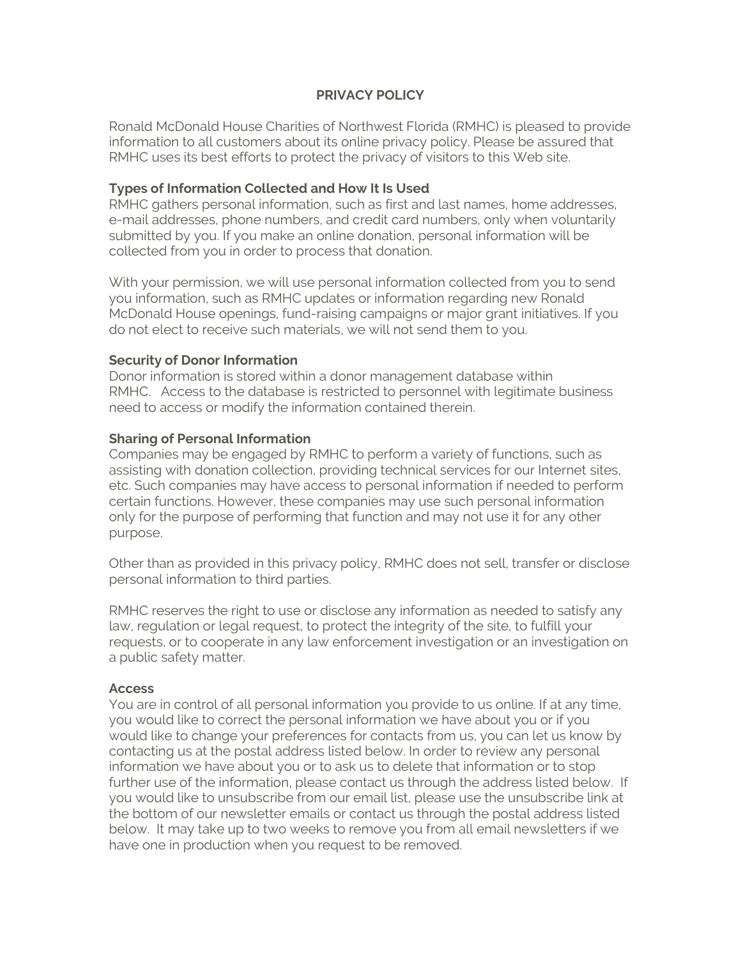# **PRIVACY POLICY**

Ronald McDonald House Charities of Northwest Florida (RMHC) is pleased to provide information to all customers about its online privacy policy. Please be assured that RMHC uses its best efforts to protect the privacy of visitors to this Web site.

# **Types of Information Collected and How It Is Used**

RMHC gathers personal information, such as first and last names, home addresses, e-mail addresses, phone numbers, and credit card numbers, only when voluntarily submitted by you. If you make an online donation, personal information will be collected from you in order to process that donation.

With your permission, we will use personal information collected from you to send you information, such as RMHC updates or information regarding new Ronald McDonald House openings, fund-raising campaigns or major grant initiatives. If you do not elect to receive such materials, we will not send them to you.

## **Security of Donor Information**

Donor information is stored within a donor management database within RMHC. Access to the database is restricted to personnel with legitimate business need to access or modify the information contained therein.

## **Sharing of Personal Information**

Companies may be engaged by RMHC to perform a variety of functions, such as assisting with donation collection, providing technical services for our Internet sites, etc. Such companies may have access to personal information if needed to perform certain functions. However, these companies may use such personal information only for the purpose of performing that function and may not use it for any other purpose.

Other than as provided in this privacy policy, RMHC does not sell, transfer or disclose personal information to third parties.

RMHC reserves the right to use or disclose any information as needed to satisfy any law, regulation or legal request, to protect the integrity of the site, to fulfill your requests, or to cooperate in any law enforcement investigation or an investigation on a public safety matter.

#### **Access**

You are in control of all personal information you provide to us online. If at any time, you would like to correct the personal information we have about you or if you would like to change your preferences for contacts from us, you can let us know by contacting us at the postal address listed below. In order to review any personal information we have about you or to ask us to delete that information or to stop further use of the information, please contact us through the address listed below. If you would like to unsubscribe from our email list, please use the unsubscribe link at the bottom of our newsletter emails or contact us through the postal address listed below. It may take up to two weeks to remove you from all email newsletters if we have one in production when you request to be removed.